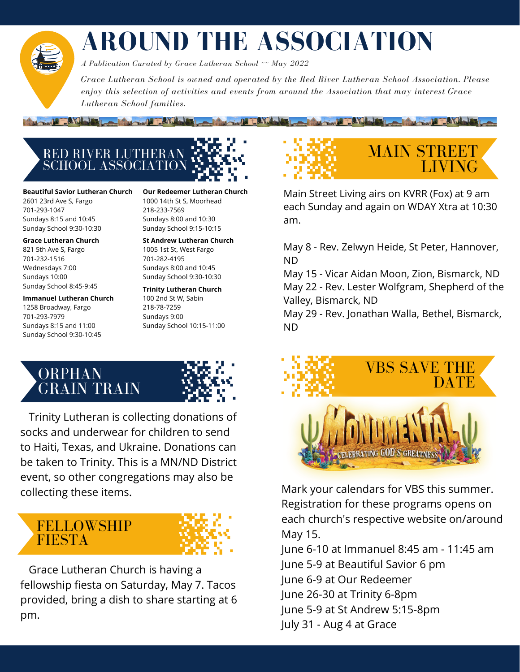### **AROUND THE ASSOCIATION**

Link Talling

*A Publication Curated by Grace Lutheran School ~~ May 2022*

*Grace Lutheran School is owned and operated by the Red River Lutheran School Association. Please enjoy this selection of activities and events from around the Association that may interest Grace Lutheran School families.*

RED RIVER LUTHERAN SCHOOL ASSOCIATION

March 1 T. American Local Company P. P. March

**Beautiful Savior Lutheran Church** 2601 23rd Ave S, Fargo 701-293-1047 Sundays 8:15 and 10:45 Sunday School 9:30-10:30

**Grace Lutheran Church** 821 5th Ave S, Fargo 701-232-1516 Wednesdays 7:00 Sundays 10:00 Sunday School 8:45-9:45

**Immanuel Lutheran Church** 1258 Broadway, Fargo 701-293-7979 Sundays 8:15 and 11:00 Sunday School 9:30-10:45

**Our Redeemer Lutheran Church** 1000 14th St S, Moorhead 218-233-7569 Sundays 8:00 and 10:30 Sunday School 9:15-10:15

**St Andrew Lutheran Church** 1005 1st St, West Fargo 701-282-4195 Sundays 8:00 and 10:45 Sunday School 9:30-10:30

**Trinity Lutheran Church** 100 2nd St W, Sabin 218-78-7259 Sundays 9:00 Sunday School 10:15-11:00

### ORPHAN GRAIN TRAIN



Trinity Lutheran is collecting donations of socks and underwear for children to send to Haiti, Texas, and Ukraine. Donations can be taken to Trinity. This is a MN/ND District event, so other congregations may also be collecting these items.

#### **FELLOWSHIP FIESTA**



Grace Lutheran Church is having a fellowship fiesta on Saturday, May 7. Tacos provided, bring a dish to share starting at 6 pm.



**A MARINE TANK AND LARGE TANKS** 

Main Street Living airs on KVRR (Fox) at 9 am each Sunday and again on WDAY Xtra at 10:30 am.

May 8 - Rev. Zelwyn Heide, St Peter, Hannover, ND

May 15 - Vicar Aidan Moon, Zion, Bismarck, ND May 22 - Rev. Lester Wolfgram, Shepherd of the Valley, Bismarck, ND

May 29 - Rev. Jonathan Walla, Bethel, Bismarck, ND



Mark your calendars for VBS this summer. Registration for these programs opens on each church's respective website on/around May 15.

June 6-10 at Immanuel 8:45 am - 11:45 am June 5-9 at Beautiful Savior 6 pm June 6-9 at Our Redeemer June 26-30 at Trinity 6-8pm June 5-9 at St Andrew 5:15-8pm July 31 - Aug 4 at Grace